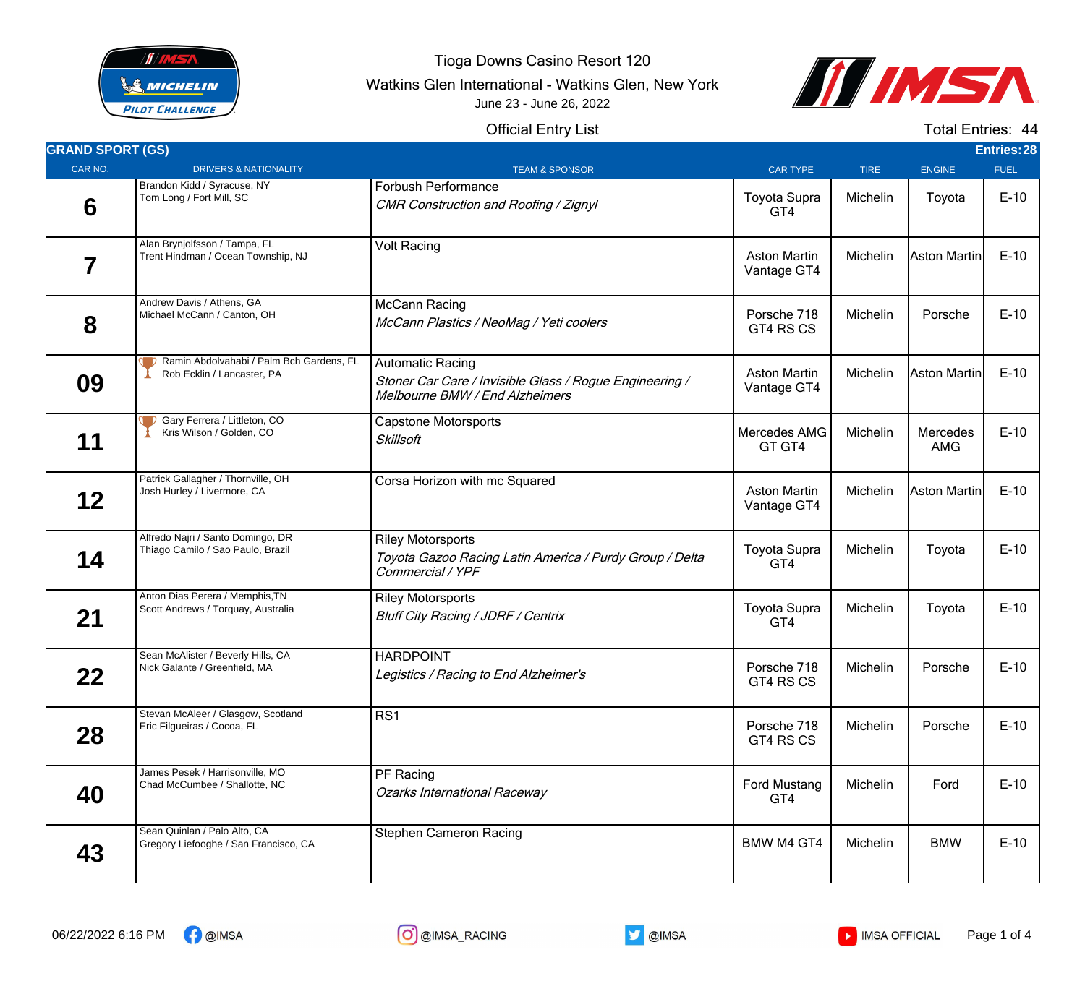

Tioga Downs Casino Resort 120

Watkins Glen International - Watkins Glen, New York





## Official Entry List

Total Entries: 44

| <b>GRAND SPORT (GS)</b> |                                                                        |                                                                                                                      |                                    |             |                        | <b>Entries: 28</b> |
|-------------------------|------------------------------------------------------------------------|----------------------------------------------------------------------------------------------------------------------|------------------------------------|-------------|------------------------|--------------------|
| CAR NO.                 | <b>DRIVERS &amp; NATIONALITY</b>                                       | <b>TEAM &amp; SPONSOR</b>                                                                                            | <b>CAR TYPE</b>                    | <b>TIRE</b> | <b>ENGINE</b>          | <b>FUEL</b>        |
| 6                       | Brandon Kidd / Syracuse, NY<br>Tom Long / Fort Mill, SC                | Forbush Performance<br>CMR Construction and Roofing / Zignyl                                                         | Toyota Supra<br>GT4                | Michelin    | Toyota                 | $E-10$             |
| 7                       | Alan Brynjolfsson / Tampa, FL<br>Trent Hindman / Ocean Township, NJ    | <b>Volt Racing</b>                                                                                                   | <b>Aston Martin</b><br>Vantage GT4 | Michelin    | Aston Martin           | $E-10$             |
| 8                       | Andrew Davis / Athens, GA<br>Michael McCann / Canton, OH               | McCann Racing<br>McCann Plastics / NeoMag / Yeti coolers                                                             | Porsche 718<br>GT4 RS CS           | Michelin    | Porsche                | $E-10$             |
| 09                      | Ramin Abdolvahabi / Palm Bch Gardens, FL<br>Rob Ecklin / Lancaster, PA | <b>Automatic Racing</b><br>Stoner Car Care / Invisible Glass / Rogue Engineering /<br>Melbourne BMW / End Alzheimers | <b>Aston Martin</b><br>Vantage GT4 | Michelin    | Aston Martin           | $E-10$             |
| 11                      | Gary Ferrera / Littleton, CO<br>Kris Wilson / Golden, CO               | <b>Capstone Motorsports</b><br><b>Skillsoft</b>                                                                      | Mercedes AMG<br>GT GT4             | Michelin    | Mercedes<br><b>AMG</b> | $E-10$             |
| $12 \,$                 | Patrick Gallagher / Thornville, OH<br>Josh Hurley / Livermore, CA      | Corsa Horizon with mc Squared                                                                                        | <b>Aston Martin</b><br>Vantage GT4 | Michelin    | Aston Martin           | $E-10$             |
| 14                      | Alfredo Najri / Santo Domingo, DR<br>Thiago Camilo / Sao Paulo, Brazil | <b>Riley Motorsports</b><br>Toyota Gazoo Racing Latin America / Purdy Group / Delta<br>Commercial / YPF              | <b>Toyota Supra</b><br>GT4         | Michelin    | Toyota                 | $E-10$             |
| 21                      | Anton Dias Perera / Memphis, TN<br>Scott Andrews / Torquay, Australia  | <b>Riley Motorsports</b><br><b>Bluff City Racing / JDRF / Centrix</b>                                                | <b>Toyota Supra</b><br>GT4         | Michelin    | Toyota                 | $E-10$             |
| 22                      | Sean McAlister / Beverly Hills, CA<br>Nick Galante / Greenfield, MA    | <b>HARDPOINT</b><br>Legistics / Racing to End Alzheimer's                                                            | Porsche 718<br>GT4 RS CS           | Michelin    | Porsche                | $E-10$             |
| 28                      | Stevan McAleer / Glasgow, Scotland<br>Eric Filgueiras / Cocoa, FL      | RS1                                                                                                                  | Porsche 718<br>GT4 RS CS           | Michelin    | Porsche                | $E-10$             |
| 40                      | James Pesek / Harrisonville, MO<br>Chad McCumbee / Shallotte, NC       | PF Racing<br><b>Ozarks International Raceway</b>                                                                     | Ford Mustang<br>GT4                | Michelin    | Ford                   | $E-10$             |
| 43                      | Sean Quinlan / Palo Alto, CA<br>Gregory Liefooghe / San Francisco, CA  | <b>Stephen Cameron Racing</b>                                                                                        | <b>BMW M4 GT4</b>                  | Michelin    | <b>BMW</b>             | $E-10$             |



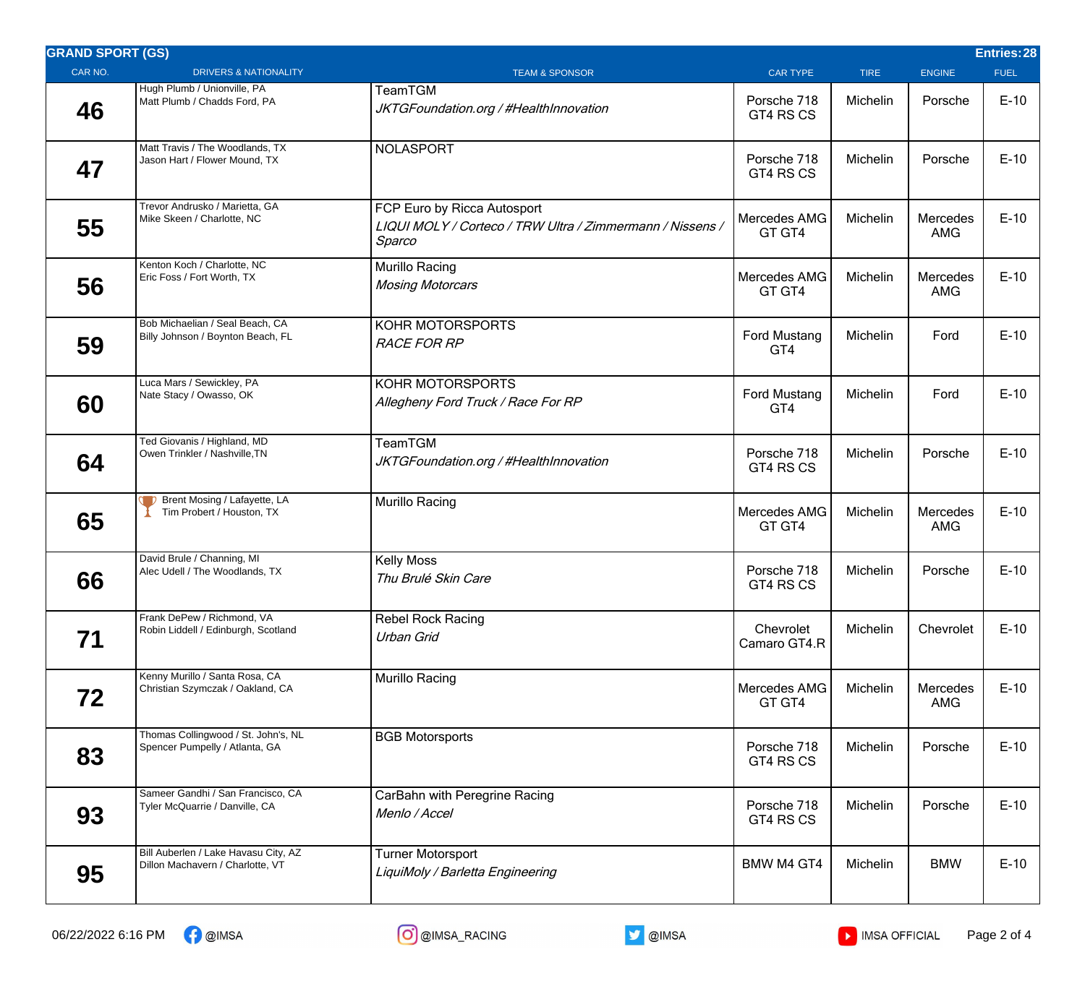| <b>GRAND SPORT (GS)</b> |                                                                          |                                                                                                    |                            |             |                        | Entries: 28 |
|-------------------------|--------------------------------------------------------------------------|----------------------------------------------------------------------------------------------------|----------------------------|-------------|------------------------|-------------|
| CAR NO.                 | <b>DRIVERS &amp; NATIONALITY</b>                                         | <b>TEAM &amp; SPONSOR</b>                                                                          | <b>CAR TYPE</b>            | <b>TIRE</b> | <b>ENGINE</b>          | <b>FUEL</b> |
| 46                      | Hugh Plumb / Unionville, PA<br>Matt Plumb / Chadds Ford, PA              | TeamTGM<br>JKTGFoundation.org / #HealthInnovation                                                  | Porsche 718<br>GT4 RS CS   | Michelin    | Porsche                | $E-10$      |
| 47                      | Matt Travis / The Woodlands, TX<br>Jason Hart / Flower Mound, TX         | <b>NOLASPORT</b>                                                                                   | Porsche 718<br>GT4 RS CS   | Michelin    | Porsche                | $E-10$      |
| 55                      | Trevor Andrusko / Marietta, GA<br>Mike Skeen / Charlotte, NC             | FCP Euro by Ricca Autosport<br>LIQUI MOLY / Corteco / TRW Ultra / Zimmermann / Nissens /<br>Sparco | Mercedes AMG<br>GT GT4     | Michelin    | Mercedes<br>AMG        | $E-10$      |
| 56                      | Kenton Koch / Charlotte, NC<br>Eric Foss / Fort Worth, TX                | Murillo Racing<br><b>Mosing Motorcars</b>                                                          | Mercedes AMG<br>GT GT4     | Michelin    | Mercedes<br><b>AMG</b> | $E-10$      |
| 59                      | Bob Michaelian / Seal Beach, CA<br>Billy Johnson / Boynton Beach, FL     | KOHR MOTORSPORTS<br><b>RACE FOR RP</b>                                                             | <b>Ford Mustang</b><br>GT4 | Michelin    | Ford                   | $E-10$      |
| 60                      | Luca Mars / Sewickley, PA<br>Nate Stacy / Owasso, OK                     | KOHR MOTORSPORTS<br>Allegheny Ford Truck / Race For RP                                             | <b>Ford Mustang</b><br>GT4 | Michelin    | Ford                   | $E-10$      |
| 64                      | Ted Giovanis / Highland, MD<br>Owen Trinkler / Nashville, TN             | TeamTGM<br>JKTGFoundation.org / #HealthInnovation                                                  | Porsche 718<br>GT4 RS CS   | Michelin    | Porsche                | $E-10$      |
| 65                      | Brent Mosing / Lafayette, LA<br>Tim Probert / Houston, TX                | Murillo Racing                                                                                     | Mercedes AMG<br>GT GT4     | Michelin    | Mercedes<br><b>AMG</b> | $E-10$      |
| 66                      | David Brule / Channing, MI<br>Alec Udell / The Woodlands, TX             | <b>Kelly Moss</b><br>Thu Brulé Skin Care                                                           | Porsche 718<br>GT4 RS CS   | Michelin    | Porsche                | $E-10$      |
| 71                      | Frank DePew / Richmond, VA<br>Robin Liddell / Edinburgh, Scotland        | <b>Rebel Rock Racing</b><br>Urban Grid                                                             | Chevrolet<br>Camaro GT4.R  | Michelin    | Chevrolet              | $E-10$      |
| 72                      | Kenny Murillo / Santa Rosa, CA<br>Christian Szymczak / Oakland, CA       | Murillo Racing                                                                                     | Mercedes AMG<br>GT GT4     | Michelin    | Mercedes<br><b>AMG</b> | $E-10$      |
| 83                      | Thomas Collingwood / St. John's, NL<br>Spencer Pumpelly / Atlanta, GA    | <b>BGB Motorsports</b>                                                                             | Porsche 718<br>GT4 RS CS   | Michelin    | Porsche                | $E-10$      |
| 93                      | Sameer Gandhi / San Francisco, CA<br>Tyler McQuarrie / Danville, CA      | CarBahn with Peregrine Racing<br>Menlo / Accel                                                     | Porsche 718<br>GT4 RS CS   | Michelin    | Porsche                | $E-10$      |
| 95                      | Bill Auberlen / Lake Havasu City, AZ<br>Dillon Machavern / Charlotte, VT | <b>Turner Motorsport</b><br>LiquiMoly / Barletta Engineering                                       | BMW M4 GT4                 | Michelin    | <b>BMW</b>             | $E-10$      |

06/22/2022 6:16 PM ← @IMSA AND CO @IMSA\_RACING AND ONES ARE ONES ARE ONES AND ONES ARE ONES ARE ONES ARE ONES



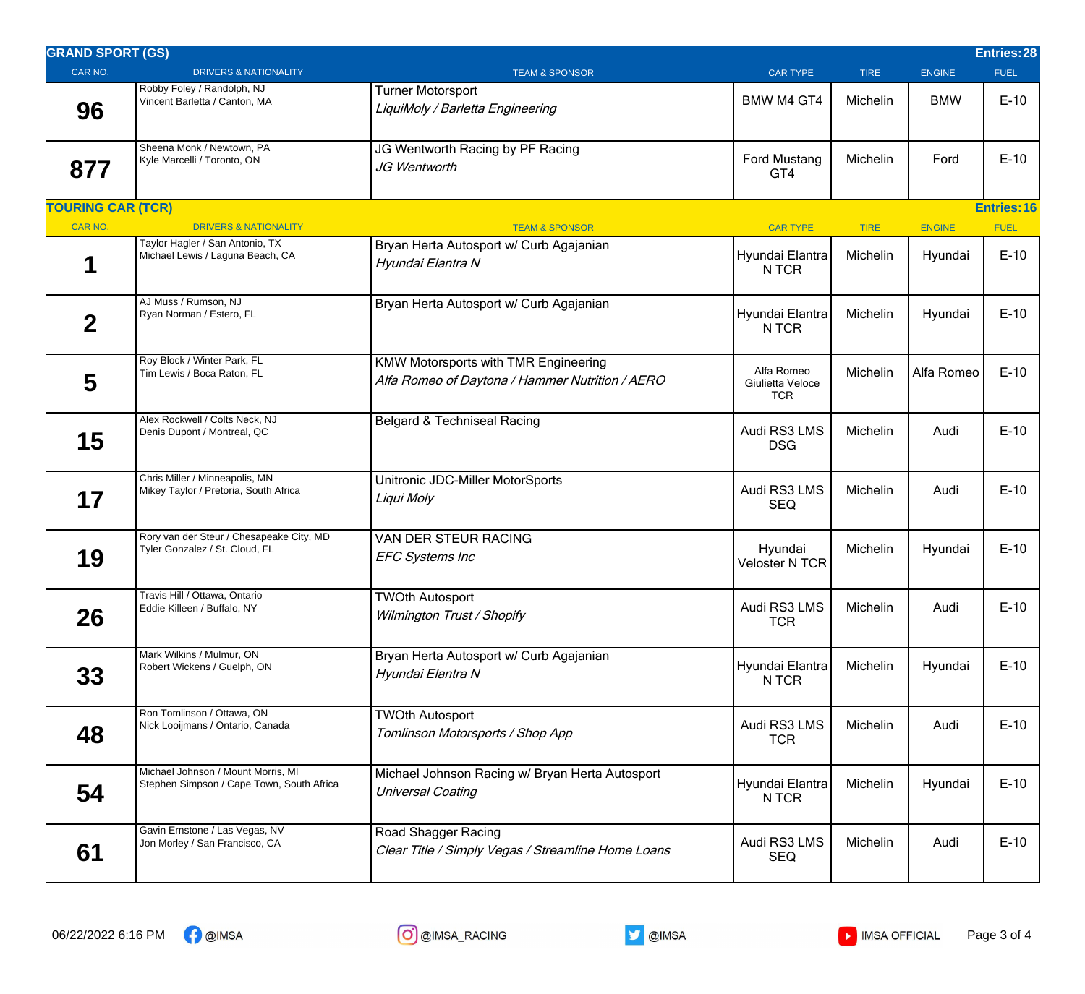| <b>GRAND SPORT (GS)</b>  |                                                                                 |                                                                                                |                                              |             |               | <b>Entries:28</b>  |
|--------------------------|---------------------------------------------------------------------------------|------------------------------------------------------------------------------------------------|----------------------------------------------|-------------|---------------|--------------------|
| CAR NO.                  | <b>DRIVERS &amp; NATIONALITY</b>                                                | <b>TEAM &amp; SPONSOR</b>                                                                      | <b>CAR TYPE</b>                              | <b>TIRE</b> | <b>ENGINE</b> | <b>FUEL</b>        |
| 96                       | Robby Foley / Randolph, NJ<br>Vincent Barletta / Canton, MA                     | <b>Turner Motorsport</b><br>LiquiMoly / Barletta Engineering                                   | <b>BMW M4 GT4</b>                            | Michelin    | <b>BMW</b>    | $E-10$             |
| 877                      | Sheena Monk / Newtown, PA<br>Kyle Marcelli / Toronto, ON                        | JG Wentworth Racing by PF Racing<br>JG Wentworth                                               | <b>Ford Mustang</b><br>GT4                   | Michelin    | Ford          | $E-10$             |
| <b>TOURING CAR (TCR)</b> |                                                                                 |                                                                                                |                                              |             |               | <b>Entries: 16</b> |
| CAR NO.                  | <b>DRIVERS &amp; NATIONALITY</b>                                                | <b>TEAM &amp; SPONSOR</b>                                                                      | <b>CAR TYPE</b>                              | <b>TIRE</b> | <b>ENGINE</b> | <b>FUEL</b>        |
|                          | Taylor Hagler / San Antonio, TX<br>Michael Lewis / Laguna Beach, CA             | Bryan Herta Autosport w/ Curb Agajanian<br>Hyundai Elantra N                                   | Hyundai Elantra<br>N TCR                     | Michelin    | Hyundai       | $E-10$             |
| $\overline{2}$           | AJ Muss / Rumson, NJ<br>Ryan Norman / Estero, FL                                | Bryan Herta Autosport w/ Curb Agajanian                                                        | Hyundai Elantra<br>N TCR                     | Michelin    | Hyundai       | $E-10$             |
| 5                        | Roy Block / Winter Park, FL<br>Tim Lewis / Boca Raton, FL                       | <b>KMW Motorsports with TMR Engineering</b><br>Alfa Romeo of Daytona / Hammer Nutrition / AERO | Alfa Romeo<br>Giulietta Veloce<br><b>TCR</b> | Michelin    | Alfa Romeo    | $E-10$             |
| 15                       | Alex Rockwell / Colts Neck, NJ<br>Denis Dupont / Montreal, QC                   | Belgard & Techniseal Racing                                                                    | Audi RS3 LMS<br><b>DSG</b>                   | Michelin    | Audi          | $E-10$             |
| 17                       | Chris Miller / Minneapolis, MN<br>Mikey Taylor / Pretoria, South Africa         | Unitronic JDC-Miller MotorSports<br>Liqui Moly                                                 | Audi RS3 LMS<br><b>SEQ</b>                   | Michelin    | Audi          | $E-10$             |
| 19                       | Rory van der Steur / Chesapeake City, MD<br>Tyler Gonzalez / St. Cloud, FL      | VAN DER STEUR RACING<br><b>EFC Systems Inc</b>                                                 | Hyundai<br><b>Veloster N TCR</b>             | Michelin    | Hyundai       | $E-10$             |
| 26                       | Travis Hill / Ottawa, Ontario<br>Eddie Killeen / Buffalo, NY                    | <b>TWOth Autosport</b><br>Wilmington Trust / Shopify                                           | Audi RS3 LMS<br><b>TCR</b>                   | Michelin    | Audi          | $E-10$             |
| 33                       | Mark Wilkins / Mulmur, ON<br>Robert Wickens / Guelph, ON                        | Bryan Herta Autosport w/ Curb Agajanian<br>Hyundai Elantra N                                   | Hyundai Elantra<br>N TCR                     | Michelin    | Hyundai       | $E-10$             |
| 48                       | Ron Tomlinson / Ottawa, ON<br>Nick Looijmans / Ontario, Canada                  | <b>TWOth Autosport</b><br>Tomlinson Motorsports / Shop App                                     | Audi RS3 LMS<br><b>TCR</b>                   | Michelin    | Audi          | $E-10$             |
| 54                       | Michael Johnson / Mount Morris, MI<br>Stephen Simpson / Cape Town, South Africa | Michael Johnson Racing w/ Bryan Herta Autosport<br><b>Universal Coating</b>                    | Hyundai Elantra<br>N TCR                     | Michelin    | Hyundai       | $E-10$             |
| 61                       | Gavin Ernstone / Las Vegas, NV<br>Jon Morley / San Francisco, CA                | Road Shagger Racing<br>Clear Title / Simply Vegas / Streamline Home Loans                      | Audi RS3 LMS<br><b>SEQ</b>                   | Michelin    | Audi          | $E-10$             |